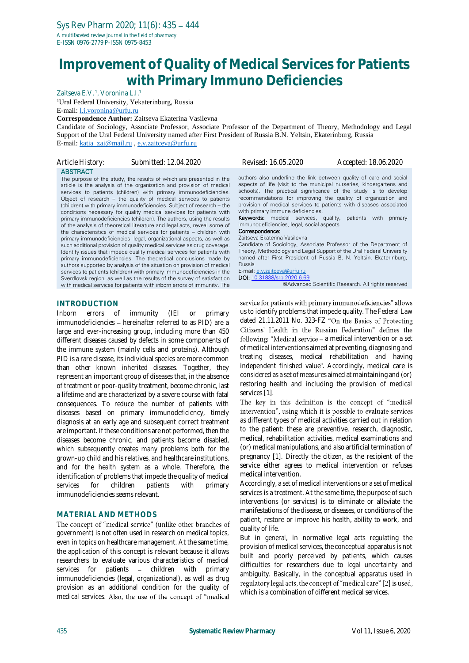# **Improvement of Quality of Medical Services for Patients with Primary Immuno Deficiencies**

Zaitseva E.V.<sup>1</sup>, Voronina L.I.<sup>1</sup>

<sup>1</sup>Ural Federal University, Yekaterinburg, Russia

E-mail: [l.i.voronina@urfu.ru](mailto:l.i.voronina@urfu.ru)

**Correspondence Author:** Zaitseva Ekaterina Vasilevna

Candidate of Sociology, Associate Professor, Associate Professor of the Department of Theory, Methodology and Legal Support of the Ural Federal University named after First President of Russia B.N. Yeltsin, Ekaterinburg, Russia E-mail: [katia\\_zai@mail.ru](mailto:katia_zai@mail.ru) [, e.v.zaitceva@urfu.ru](mailto:e.v.zaitceva@urfu.ru)

| Article History: | Submitted: 12.04.2020                                                | Revised: 16.05.2020                                                  | Accepted: 18.06.2020 |
|------------------|----------------------------------------------------------------------|----------------------------------------------------------------------|----------------------|
| <b>ABSTRACT</b>  | The purpose of the study, the results of which are presented in the  | authors also underline the link between quality of care and soc      |                      |
|                  | article is the analysis of the organization and provision of medical | aspects of life (visit to the municipal nurseries, kindergartens and |                      |

article is the analysis of the organization and provision of medical services to patients (children) with primary immunodeficiencies. Object of research – the quality of medical services to patients (children) with primary immunodeficiencies. Subject of research – the conditions necessary for quality medical services for patients with primary immunodeficiencies (children). The authors, using the results of the analysis of theoretical literature and legal acts, reveal some of the characteristics of medical services for patients – children with primary immunodeficiencies: legal, organizational aspects, as well as such additional provision of quality medical services as drug coverage. Identify issues that impede quality medical services for patients with primary immunodeficiencies. The theoretical conclusions made by authors supported by analysis of the situation on provision of medical services to patients (children) with primary immunodeficiencies in the Sverdlovsk region, as well as the results of the survey of satisfaction with medical services for patients with inborn errors of immunity. The

### **INTRODUCTION**

Inborn errors of immunity (IEI or primary immunodeficiencies - hereinafter referred to as PID) are a large and ever-increasing group, including more than 450 different diseases caused by defects in some components of the immune system (mainly cells and proteins). Although PID is a rare disease, its individual species are more common than other known inherited diseases. Together, they represent an important group of diseases that, in the absence of treatment or poor-quality treatment, become chronic, last a lifetime and are characterized by a severe course with fatal consequences. To reduce the number of patients with diseases based on primary immunodeficiency, timely diagnosis at an early age and subsequent correct treatment are important. If these conditions are not performed, then the diseases become chronic, and patients become disabled, which subsequently creates many problems both for the grown-up child and his relatives, and healthcare institutions, and for the health system as a whole. Therefore, the identification of problems that impede the quality of medical services for children patients with primary immunodeficiencies seems relevant.

#### **MATERIAL AND METHODS**

The concept of "medical service" (unlike other branches of government) is not often used in research on medical topics, even in topics on healthcare management. At the same time, the application of this concept is relevant because it allows researchers to evaluate various characteristics of medical services for patients - children with primary immunodeficiencies (legal, organizational), as well as drug provision as an additional condition for the quality of medical services. Also, the use of the concept of "medical

authors also underline the link between quality of care and social aspects of life (visit to the municipal nurseries, kindergartens and schools). The practical significance of the study is to develop recommendations for improving the quality of organization and provision of medical services to patients with diseases associated with primary immune deficiencies.

Keywords: medical services, quality, patients with primary immunodeficiencies, legal, social aspects

#### Correspondence: Zaitseva Ekaterina Vasilevna

Candidate of Sociology, Associate Professor of the Department of Theory, Methodology and Legal Support of the Ural Federal University named after First President of Russia B. N. Yeltsin, Ekaterinburg, Russia

E-mail[: e.v.zaitceva@urfu.ru](mailto:e.v.zaitceva@urfu.ru)

DOI: [10.31838/srp.2020.6.69](http://dx.doi.org/10.5530/srp.2019.2.04)

@Advanced Scientific Research. All rights reserved

service for patients with primary immunodeficiencies" allows us to identify problems that impede quality. The Federal Law dated 21.11.2011 No. 323-FZ "On the Basics of Protecting Citizens' Health in the Russian Federation" defines the following: "Medical service - a medical intervention or a set of medical interventions aimed at preventing, diagnosing and treating diseases, medical rehabilitation and having independent finished value". Accordingly, medical care is considered as a set of measures aimed at maintaining and (or) restoring health and including the provision of medical services [1].

The key in this definition is the concept of "medical intervention", using which it is possible to evaluate services as different types of medical activities carried out in relation to the patient: these are preventive, research, diagnostic, medical, rehabilitation activities, medical examinations and (or) medical manipulations, and also artificial termination of pregnancy [1]. Directly the citizen, as the recipient of the service either agrees to medical intervention or refuses medical intervention.

Accordingly, a set of medical interventions or a set of medical services is a treatment. At the same time, the purpose of such interventions (or services) is to eliminate or alleviate the manifestations of the disease, or diseases, or conditions of the patient, restore or improve his health, ability to work, and quality of life.

But in general, in normative legal acts regulating the provision of medical services, the conceptual apparatus is not built and poorly perceived by patients, which causes difficulties for researchers due to legal uncertainty and ambiguity. Basically, in the conceptual apparatus used in regulatory legal acts, the concept of "medical care" [2] is used, which is a combination of different medical services.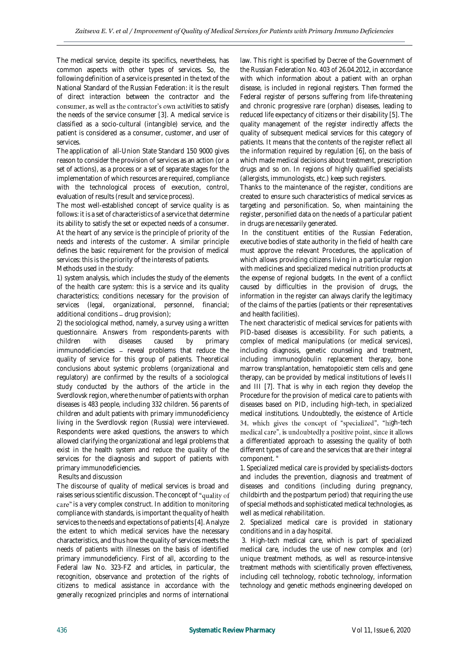The medical service, despite its specifics, nevertheless, has common aspects with other types of services. So, the following definition of a service is presented in the text of the National Standard of the Russian Federation: it is the result of direct interaction between the contractor and the consumer, as well as the contractor's own activities to satisfy the needs of the service consumer [3]. A medical service is classified as a socio-cultural (intangible) service, and the patient is considered as a consumer, customer, and user of services.

The application of all-Union State Standard 150 9000 gives reason to consider the provision of services as an action (or a set of actions), as a process or a set of separate stages for the implementation of which resources are required, compliance with the technological process of execution, control, evaluation of results (result and service process).

The most well-established concept of service quality is as follows: it is a set of characteristics of a service that determine its ability to satisfy the set or expected needs of a consumer. At the heart of any service is the principle of priority of the needs and interests of the customer. A similar principle defines the basic requirement for the provision of medical services: this is the priority of the interests of patients. Methods used in the study:

1) system analysis, which includes the study of the elements of the health care system: this is a service and its quality characteristics; conditions necessary for the provision of services (legal, organizational, personnel, financial; additional conditions  $-$  drug provision);

2) the sociological method, namely, a survey using a written questionnaire. Answers from respondents-parents with<br>children with diseases caused by primary diseases caused by primary immunodeficiencies - reveal problems that reduce the quality of service for this group of patients. Theoretical conclusions about systemic problems (organizational and regulatory) are confirmed by the results of a sociological study conducted by the authors of the article in the Sverdlovsk region, where the number of patients with orphan diseases is 483 people, including 332 children. 56 parents of children and adult patients with primary immunodeficiency living in the Sverdlovsk region (Russia) were interviewed. Respondents were asked questions, the answers to which allowed clarifying the organizational and legal problems that exist in the health system and reduce the quality of the services for the diagnosis and support of patients with primary immunodeficiencies.

#### Results and discussion

The discourse of quality of medical services is broad and raises serious scientific discussion. The concept of "quality of care" is a very complex construct. In addition to monitoring compliance with standards, is important the quality of health services to the needs and expectations of patients [4]. Analyze the extent to which medical services have the necessary characteristics, and thus how the quality of services meets the needs of patients with illnesses on the basis of identified primary immunodeficiency. First of all, according to the Federal law No. 323-FZ and articles, in particular, the recognition, observance and protection of the rights of citizens to medical assistance in accordance with the generally recognized principles and norms of international

law. This right is specified by Decree of the Government of the Russian Federation No. 403 of 26.04.2012, in accordance with which information about a patient with an orphan disease, is included in regional registers. Then formed the Federal register of persons suffering from life-threatening and chronic progressive rare (orphan) diseases, leading to reduced life expectancy of citizens or their disability [5]. The quality management of the register indirectly affects the quality of subsequent medical services for this category of patients. It means that the contents of the register reflect all the information required by regulation [6], on the basis of which made medical decisions about treatment, prescription drugs and so on. In regions of highly qualified specialists (allergists, immunologists, etc.) keep such registers.

Thanks to the maintenance of the register, conditions are created to ensure such characteristics of medical services as targeting and personification. So, when maintaining the register, personified data on the needs of a particular patient in drugs are necessarily generated.

In the constituent entities of the Russian Federation, executive bodies of state authority in the field of health care must approve the relevant Procedures, the application of which allows providing citizens living in a particular region with medicines and specialized medical nutrition products at the expense of regional budgets. In the event of a conflict caused by difficulties in the provision of drugs, the information in the register can always clarify the legitimacy of the claims of the parties (patients or their representatives and health facilities).

The next characteristic of medical services for patients with PID-based diseases is accessibility. For such patients, a complex of medical manipulations (or medical services), including diagnosis, genetic counseling and treatment, including immunoglobulin replacement therapy, bone marrow transplantation, hematopoietic stem cells and gene therapy, can be provided by medical institutions of levels II and III [7]. That is why in each region they develop the Procedure for the provision of medical care to patients with diseases based on PID, including high-tech, in specialized medical institutions. Undoubtedly, the existence of Article 34, which gives the concept of "specialized", "high-tech medical care", is undoubtedly a positive point, since it allows a differentiated approach to assessing the quality of both different types of care and the services that are their integral component. "

1. Specialized medical care is provided by specialists-doctors and includes the prevention, diagnosis and treatment of diseases and conditions (including during pregnancy, childbirth and the postpartum period) that requiring the use of special methods and sophisticated medical technologies, as well as medical rehabilitation.

2. Specialized medical care is provided in stationary conditions and in a day hospital.

3. High-tech medical care, which is part of specialized medical care, includes the use of new complex and (or) unique treatment methods, as well as resource-intensive treatment methods with scientifically proven effectiveness, including cell technology, robotic technology, information technology and genetic methods engineering developed on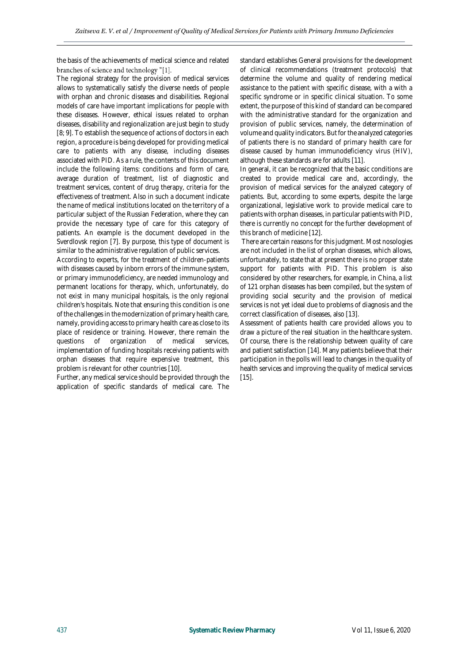the basis of the achievements of medical science and related branches of science and technology "[1].

The regional strategy for the provision of medical services allows to systematically satisfy the diverse needs of people with orphan and chronic diseases and disabilities. Regional models of care have important implications for people with these diseases. However, ethical issues related to orphan diseases, disability and regionalization are just begin to study [8; 9]. To establish the sequence of actions of doctors in each region, a procedure is being developed for providing medical care to patients with any disease, including diseases associated with PID. As a rule, the contents of this document include the following items: conditions and form of care, average duration of treatment, list of diagnostic and treatment services, content of drug therapy, criteria for the effectiveness of treatment. Also in such a document indicate the name of medical institutions located on the territory of a particular subject of the Russian Federation, where they can provide the necessary type of care for this category of patients. An example is the document developed in the Sverdlovsk region [7]. By purpose, this type of document is similar to the administrative regulation of public services.

According to experts, for the treatment of children-patients with diseases caused by inborn errors of the immune system, or primary immunodeficiency, are needed immunology and permanent locations for therapy, which, unfortunately, do not exist in many municipal hospitals, is the only regional children's hospitals. Note that ensuring this condition is one of the challenges in the modernization of primary health care, namely, providing access to primary health care as close to its place of residence or training. However, there remain the questions of organization of medical services, implementation of funding hospitals receiving patients with orphan diseases that require expensive treatment, this problem is relevant for other countries [10].

Further, any medical service should be provided through the application of specific standards of medical care. The standard establishes General provisions for the development of clinical recommendations (treatment protocols) that determine the volume and quality of rendering medical assistance to the patient with specific disease, with a with a specific syndrome or in specific clinical situation. To some extent, the purpose of this kind of standard can be compared with the administrative standard for the organization and provision of public services, namely, the determination of volume and quality indicators. But for the analyzed categories of patients there is no standard of primary health care for disease caused by human immunodeficiency virus (HIV), although these standards are for adults [11].

In general, it can be recognized that the basic conditions are created to provide medical care and, accordingly, the provision of medical services for the analyzed category of patients. But, according to some experts, despite the large organizational, legislative work to provide medical care to patients with orphan diseases, in particular patients with PID, there is currently no concept for the further development of this branch of medicine [12].

There are certain reasons for this judgment. Most nosologies are not included in the list of orphan diseases, which allows, unfortunately, to state that at present there is no proper state support for patients with PID. This problem is also considered by other researchers, for example, in China, a list of 121 orphan diseases has been compiled, but the system of providing social security and the provision of medical services is not yet ideal due to problems of diagnosis and the correct classification of diseases, also [13].

Assessment of patients health care provided allows you to draw a picture of the real situation in the healthcare system. Of course, there is the relationship between quality of care and patient satisfaction [14]. Many patients believe that their participation in the polls will lead to changes in the quality of health services and improving the quality of medical services [15].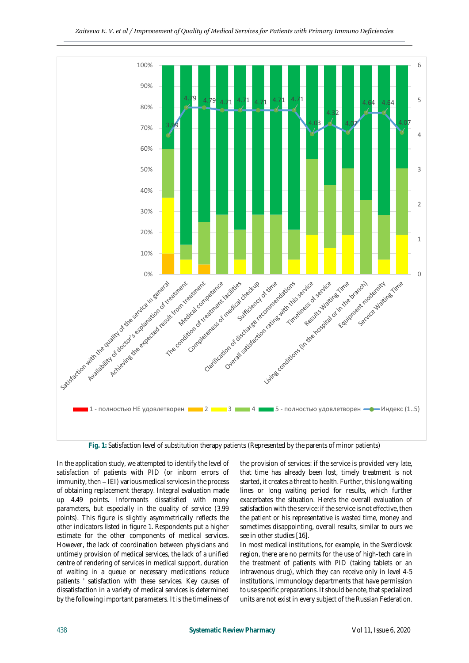

**Fig. 1:** Satisfaction level of substitution therapy patients (Represented by the parents of minor patients)

In the application study, we attempted to identify the level of satisfaction of patients with PID (or inborn errors of  $immu$ ity, then  $-$  IEI) various medical services in the process of obtaining replacement therapy. Integral evaluation made up 4.49 points. Informants dissatisfied with many parameters, but especially in the quality of service (3.99 points). This figure is slightly asymmetrically reflects the other indicators listed in figure 1. Respondents put a higher estimate for the other components of medical services. However, the lack of coordination between physicians and untimely provision of medical services, the lack of a unified centre of rendering of services in medical support, duration of waiting in a queue or necessary medications reduce patients ' satisfaction with these services. Key causes of dissatisfaction in a variety of medical services is determined by the following important parameters. It is the timeliness of

the provision of services: if the service is provided very late, that time has already been lost, timely treatment is not started, it creates a threat to health. Further, this long waiting lines or long waiting period for results, which further exacerbates the situation. Here's the overall evaluation of satisfaction with the service: if the service is not effective, then the patient or his representative is wasted time, money and sometimes disappointing, overall results, similar to ours we see in other studies [16].

In most medical institutions, for example, in the Sverdlovsk region, there are no permits for the use of high-tech care in the treatment of patients with PID (taking tablets or an intravenous drug), which they can receive only in level 4-5 institutions, immunology departments that have permission to use specific preparations. It should be note, that specialized units are not exist in every subject of the Russian Federation.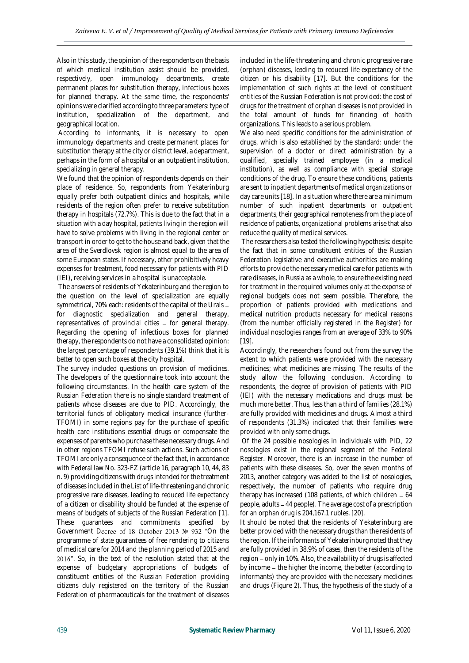Also in this study, the opinion of the respondents on the basis of which medical institution assist should be provided, respectively, open immunology departments, create permanent places for substitution therapy, infectious boxes for planned therapy. At the same time, the respondents' opinions were clarified according to three parameters: type of institution, specialization of the department, and geographical location.

According to informants, it is necessary to open immunology departments and create permanent places for substitution therapy at the city or district level, a department, perhaps in the form of a hospital or an outpatient institution, specializing in general therapy.

We found that the opinion of respondents depends on their place of residence. So, respondents from Yekaterinburg equally prefer both outpatient clinics and hospitals, while residents of the region often prefer to receive substitution therapy in hospitals (72.7%). This is due to the fact that in a situation with a day hospital, patients living in the region will have to solve problems with living in the regional center or transport in order to get to the house and back, given that the area of the Sverdlovsk region is almost equal to the area of some European states. If necessary, other prohibitively heavy expenses for treatment, food necessary for patients with PID (IEI), receiving services in a hospital is unacceptable.

The answers of residents of Yekaterinburg and the region to the question on the level of specialization are equally symmetrical, 70% each: residents of the capital of the Urals for diagnostic specialization and general therapy, representatives of provincial cities - for general therapy. Regarding the opening of infectious boxes for planned therapy, the respondents do not have a consolidated opinion: the largest percentage of respondents (39.1%) think that it is better to open such boxes at the city hospital.

The survey included questions on provision of medicines. The developers of the questionnaire took into account the following circumstances. In the health care system of the Russian Federation there is no single standard treatment of patients whose diseases are due to PID. Accordingly, the territorial funds of obligatory medical insurance (further-TFOMI) in some regions pay for the purchase of specific health care institutions essential drugs or compensate the expenses of parents who purchase these necessary drugs. And in other regions TFOMI refuse such actions. Such actions of TFOMI are only a consequence of the fact that, in accordance with Federal law No. 323-FZ (article 16, paragraph 10, 44, 83 n. 9) providing citizens with drugs intended for the treatment of diseases included in the List of life-threatening and chronic progressive rare diseases, leading to reduced life expectancy of a citizen or disability should be funded at the expense of means of budgets of subjects of the Russian Federation [1]. These guarantees and commitments specified by Government Decree of 18 October 2013 № 932 "On the programme of state guarantees of free rendering to citizens of medical care for 2014 and the planning period of 2015 and 2016". So, in the text of the resolution stated that at the expense of budgetary appropriations of budgets of constituent entities of the Russian Federation providing citizens duly registered on the territory of the Russian Federation of pharmaceuticals for the treatment of diseases

included in the life-threatening and chronic progressive rare (orphan) diseases, leading to reduced life expectancy of the citizen or his disability [17]. But the conditions for the implementation of such rights at the level of constituent entities of the Russian Federation is not provided: the cost of drugs for the treatment of orphan diseases is not provided in the total amount of funds for financing of health organizations. This leads to a serious problem.

We also need specific conditions for the administration of drugs, which is also established by the standard: under the supervision of a doctor or direct administration by a qualified, specially trained employee (in a medical institution), as well as compliance with special storage conditions of the drug. To ensure these conditions, patients are sent to inpatient departments of medical organizations or day care units [18]. In a situation where there are a minimum number of such inpatient departments or outpatient departments, their geographical remoteness from the place of residence of patients, organizational problems arise that also reduce the quality of medical services.

The researchers also tested the following hypothesis: despite the fact that in some constituent entities of the Russian Federation legislative and executive authorities are making efforts to provide the necessary medical care for patients with rare diseases, in Russia as a whole, to ensure the existing need for treatment in the required volumes only at the expense of regional budgets does not seem possible. Therefore, the proportion of patients provided with medications and medical nutrition products necessary for medical reasons (from the number officially registered in the Register) for individual nosologies ranges from an average of 33% to 90% [19].

Accordingly, the researchers found out from the survey the extent to which patients were provided with the necessary medicines; what medicines are missing. The results of the study allow the following conclusion. According to respondents, the degree of provision of patients with PID (IEI) with the necessary medications and drugs must be much more better. Thus, less than a third of families (28.1%) are fully provided with medicines and drugs. Almost a third of respondents (31.3%) indicated that their families were provided with only some drugs.

Of the 24 possible nosologies in individuals with PID, 22 nosologies exist in the regional segment of the Federal Register. Moreover, there is an increase in the number of patients with these diseases. So, over the seven months of 2013, another category was added to the list of nosologies, respectively, the number of patients who require drug therapy has increased (108 patients, of which children  $-64$ people, adults 44 people). The average cost of a prescription for an orphan drug is 204,167.1 rubles. [20].

It should be noted that the residents of Yekaterinburg are better provided with the necessary drugs than the residents of the region. If the informants of Yekaterinburg noted that they are fully provided in 38.9% of cases, then the residents of the region – only in 10%. Also, the availability of drugs is affected by income – the higher the income, the better (according to informants) they are provided with the necessary medicines and drugs (Figure 2). Thus, the hypothesis of the study of a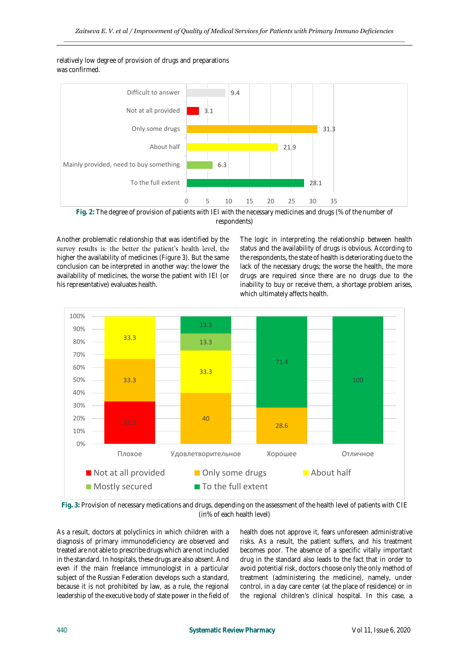relatively low degree of provision of drugs and preparations was confirmed.



**Fig. 2:** The degree of provision of patients with IEI with the necessary medicines and drugs (% of the number of respondents)

Another problematic relationship that was identified by the survey results is: the better the patient's health level, the higher the availability of medicines (Figure 3). But the same conclusion can be interpreted in another way: the lower the availability of medicines, the worse the patient with IEI (or his representative) evaluates health.

The logic in interpreting the relationship between health status and the availability of drugs is obvious. According to the respondents, the state of health is deteriorating due to the lack of the necessary drugs; the worse the health, the more drugs are required since there are no drugs due to the inability to buy or receive them, a shortage problem arises, which ultimately affects health.



**Fig. 3:** Provision of necessary medications and drugs, depending on the assessment of the health level of patients with CIE (in% of each health level)

As a result, doctors at polyclinics in which children with a diagnosis of primary immunodeficiency are observed and treated are not able to prescribe drugs which are not included in the standard. In hospitals, these drugs are also absent. And even if the main freelance immunologist in a particular subject of the Russian Federation develops such a standard, because it is not prohibited by law, as a rule, the regional leadership of the executive body of state power in the field of

health does not approve it, fears unforeseen administrative risks. As a result, the patient suffers, and his treatment becomes poor. The absence of a specific vitally important drug in the standard also leads to the fact that in order to avoid potential risk, doctors choose only the only method of treatment (administering the medicine), namely, under control, in a day care center (at the place of residence) or in the regional children's clinical hospital. In this case, a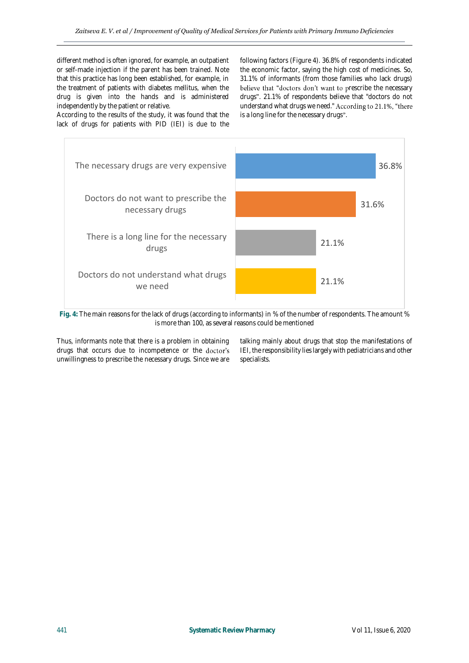different method is often ignored, for example, an outpatient or self-made injection if the parent has been trained. Note that this practice has long been established, for example, in the treatment of patients with diabetes mellitus, when the drug is given into the hands and is administered independently by the patient or relative.

According to the results of the study, it was found that the lack of drugs for patients with PID (IEI) is due to the

following factors (Figure 4). 36.8% of respondents indicated the economic factor, saying the high cost of medicines. So, 31.1% of informants (from those families who lack drugs) believe that "doctors don't want to prescribe the necessary drugs". 21.1% of respondents believe that "doctors do not understand what drugs we need." According to 21.1%, "there is a long line for the necessary drugs".



**Fig. 4:** The main reasons for the lack of drugs (according to informants) in % of the number of respondents. The amount % is more than 100, as several reasons could be mentioned

Thus, informants note that there is a problem in obtaining drugs that occurs due to incompetence or the doctor's unwillingness to prescribe the necessary drugs. Since we are

talking mainly about drugs that stop the manifestations of IEI, the responsibility lies largely with pediatricians and other specialists.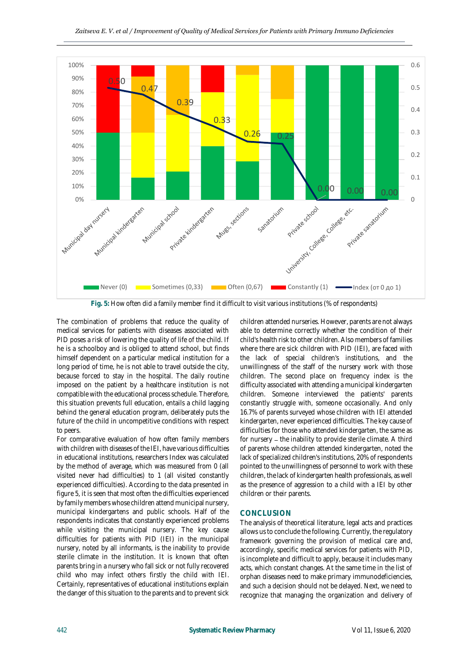

**Fig. 5:** How often did a family member find it difficult to visit various institutions (% of respondents)

The combination of problems that reduce the quality of medical services for patients with diseases associated with PID poses a risk of lowering the quality of life of the child. If he is a schoolboy and is obliged to attend school, but finds himself dependent on a particular medical institution for a long period of time, he is not able to travel outside the city, because forced to stay in the hospital. The daily routine imposed on the patient by a healthcare institution is not compatible with the educational process schedule. Therefore, this situation prevents full education, entails a child lagging behind the general education program, deliberately puts the future of the child in uncompetitive conditions with respect to peers.

For comparative evaluation of how often family members with children with diseases of the IEI, have various difficulties in educational institutions, researchers Index was calculated by the method of average, which was measured from 0 (all visited never had difficulties) to 1 (all visited constantly experienced difficulties). According to the data presented in figure 5, it is seen that most often the difficulties experienced by family members whose children attend municipal nursery, municipal kindergartens and public schools. Half of the respondents indicates that constantly experienced problems while visiting the municipal nursery. The key cause difficulties for patients with PID (IEI) in the municipal nursery, noted by all informants, is the inability to provide sterile climate in the institution. It is known that often parents bring in a nursery who fall sick or not fully recovered child who may infect others firstly the child with IEI. Certainly, representatives of educational institutions explain the danger of this situation to the parents and to prevent sick

children attended nurseries. However, parents are not always able to determine correctly whether the condition of their child's health risk to other children. Also members of families where there are sick children with PID (IEI), are faced with the lack of special children's institutions, and the unwillingness of the staff of the nursery work with those children. The second place on frequency index is the difficulty associated with attending a municipal kindergarten children. Someone interviewed the patients' parents constantly struggle with, someone occasionally. And only 16.7% of parents surveyed whose children with IEI attended kindergarten, never experienced difficulties. The key cause of difficulties for those who attended kindergarten, the same as for nursery – the inability to provide sterile climate. A third of parents whose children attended kindergarten, noted the lack of specialized children's institutions, 20% of respondents pointed to the unwillingness of personnel to work with these children, the lack of kindergarten health professionals, as well as the presence of aggression to a child with a IEI by other children or their parents.

## **CONCLUSION**

The analysis of theoretical literature, legal acts and practices allows us to conclude the following. Currently, the regulatory framework governing the provision of medical care and, accordingly, specific medical services for patients with PID, is incomplete and difficult to apply, because it includes many acts, which constant changes. At the same time in the list of orphan diseases need to make primary immunodeficiencies, and such a decision should not be delayed. Next, we need to recognize that managing the organization and delivery of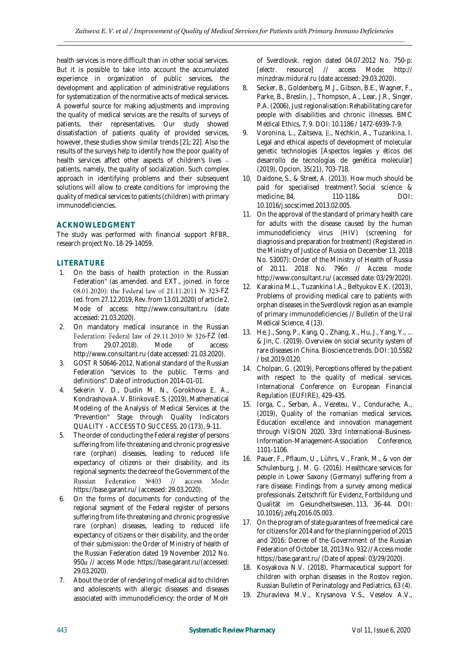health services is more difficult than in other social services. But it is possible to take into account the accumulated experience in organization of public services, the development and application of administrative regulations for systematization of the normative acts of medical services. A powerful source for making adjustments and improving the quality of medical services are the results of surveys of patients, their representatives. Our study showed dissatisfaction of patients quality of provided services, however, these studies show similar trends [21; 22]. Also the results of the surveys help to identify how the poor quality of health services affect other aspects of children's lives patients, namely, the quality of socialization. Such complex approach in identifying problems and their subsequent solutions will allow to create conditions for improving the quality of medical services to patients (children) with primary immunodeficiencies.

# **ACKNOWLEDGMENT**

The study was performed with financial support RFBR, research project No. 18-29-14059.

# **LITERATURE**

- 1. On the basis of health protection in the Russian Federation" (as amended. and EXT., joined. in force 08.01.2020): the Federal law of 21.11.2011 № 323-FZ (ed. from 27.12.2019, Rev. from 13.01.2020) of article 2. Mode of access: http://www.consultant.ru (date accessed: 21.03.2020).
- 2. On mandatory medical insurance in the Russian Federation: Federal law of 29.11.2010 № 326-FZ (ed. from 29.07.2018). Mode of access: http://www.consultant.ru (date accessed: 21.03.2020).
- 3. GOST R 50646-2012. National standard of the Russian Federation "services to the public. Terms and definitions". Date of introduction 2014-01-01.
- 4. Sekerin V. D., Dudin M. N., Gorokhova E. A., Kondrashova A. V. Blinkova E. S. (2019), Mathematical Modeling of the Analysis of Medical Services at the "Prevention" Stage through Quality Indicators QUALITY - ACCESS TO SUCCESS. 20 (173), 9-11.
- 5. The order of conducting the Federal register of persons suffering from life-threatening and chronic progressive rare (orphan) diseases, leading to reduced life expectancy of citizens or their disability, and its regional segments: the decree of the Government of the Russian Federation Nº403 // access Mode: https://base.garant.ru/ (accessed: 29.03.2020).
- 6. On the forms of documents for conducting of the regional segment of the Federal register of persons suffering from life-threatening and chronic progressive rare (orphan) diseases, leading to reduced life expectancy of citizens or their disability, and the order of their submission: the Order of Ministry of health of the Russian Federation dated 19 November 2012 No. 950 H // access Mode: https://base.garant.ru/(accessed: 29.03.2020).
- 7. About the order of rendering of medical aid to children and adolescents with allergic diseases and diseases associated with immunodeficiency: the order of MoH

of Sverdlovsk. region dated 04.07.2012 No. 750-p: [electr. resource] // access Mode: http:// minzdrav.midural.ru (date accessed: 29.03.2020).

- 8. Secker, B., Goldenberg, M.J., Gibson, B.E., Wagner, F., Parke, B., Breslin, J., Thompson, A., Lear, J.R., Singer, P.A. (2006), Just regionalisation: Rehabilitating care for people with disabilities and chronic illnesses. BMC Medical Ethics, 7, 9. DOI: 10.1186 / 1472-6939-7-9.
- 9. Voronina, L., Zaitseva, E., Nechkin, A., Tuzankina, I. Legal and ethical aspects of development of molecular genetic technologies [Aspectos legales y éticos del desarrollo de tecnologías de genética molecular] (2019), Opcion, 35(21), 703-718.
- 10. Daidone, S., & Street, A. (2013). How much should be paid for specialised treatment?. Social science & medicine, 84, 110-118& DOI: 10.1016/j.socscimed.2013.02.005.
- 11. On the approval of the standard of primary health care for adults with the disease caused by the human immunodeficiency virus (HIV) (screening for diagnosis and preparation for treatment) (Registered in the Ministry of Justice of Russia on December 13, 2018 No. 53007): Order of the Ministry of Health of Russia of 20.11. 2018 No. 796n // Access mode: http://www.consultant.ru/ (accessed date: 03/29/2020).
- 12. Karakina M.L., Tuzankina I.A., Beltyukov E.K. (2013), Problems of providing medical care to patients with orphan diseases in the Sverdlovsk region as an example of primary immunodeficiencies // Bulletin of the Ural Medical Science, 4 (13).
- 13. He, J., Song, P., Kang, Q., Zhang, X., Hu, J., Yang, Y., ... & Jin, C. (2019). Overview on social security system of rare diseases in China. Bioscience trends. DOI: 10.5582 / bst.2019.0120.
- 14. Cholpan, G. (2019), Perceptions offered by the patient with respect to the quality of medical services. International Conference on European Financial Regulation (EUFIRE), 429-435.
- 15. Iorga, C., Serban, A., Vezeteu, V., Condurache, A., (2019), Quality of the romanian medical services. Education excellence and innovation management through VISION 2020. 33rd International-Business-Information-Management-Association Conference, 1101-1106.
- 16. Pauer, F., Pflaum, U., Lührs, V., Frank, M., & von der Schulenburg, J. M. G. (2016). Healthcare services for people in Lower Saxony (Germany) suffering from a rare disease: Findings from a survey among medical professionals. Zeitschrift für Evidenz, Fortbildung und Qualität im Gesundheitswesen, 113, 36-44. DOI: 10.1016/j.zefq.2016.05.003.
- 17. On the program of state guarantees of free medical care for citizens for 2014 and for the planning period of 2015 and 2016: Decree of the Government of the Russian Federation of October 18, 2013 No. 932 // Access mode: https://base.garant.ru/ (Date of appeal: 03/29/2020).
- 18. Kosyakova N.V. (2018), Pharmaceutical support for children with orphan diseases in the Rostov region. Russian Bulletin of Perinatology and Pediatrics, 63 (4).
- 19. Zhuravleva M.V., Krysanova V.S., Veselov A.V.,